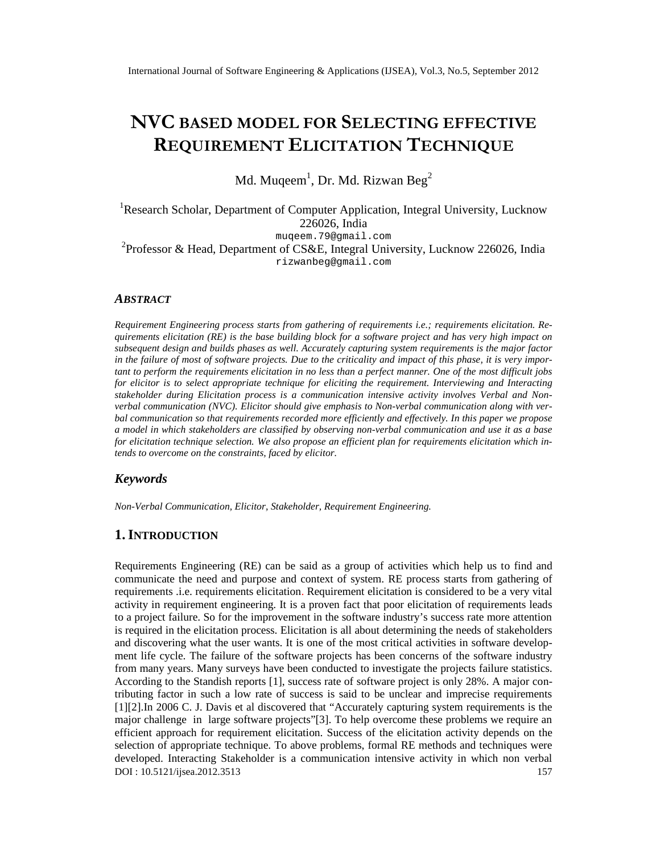# NVGBASEMDODEEORSELECTINEGFFECTIVE REQUIREME FUICITATION CHNIQUE

Md. Muqeem, Dr. Md. Rizwan Be $\hat{\mathrm{g}}$ 

<sup>1</sup>Research Scholar, Department of Computer Application, Integral University, Lucknow 226026, India muqeem[.79@gmail.com](mailto:79@gmail.com) <sup>2</sup>Professor & Head, Departmet CS&E, Integral University, Lucknow 226026, India [rizwanbeg@gmail.com](mailto:rizwanbeg@gmail.com)

### ABSTRACT

Requirement Engineering process starts from gathering of requirements elicitation. Requirements elicitation(RE) is the base building lock for a software project and has very high impact on subsequent design and builds phases as *Nedurately capturg system requirements* is the major factor in the failure of most of software projects are to the criticality and impact of this phase, it is very impo tant to perform the requirements elation in no less than a perfect manner. One of the most difficult jobs for elicitor is to select appropriate technique for elicit the requirement. Interviewingand Interacting stakeholder during Elicitation process is a communication intensive activity involves Verbal and Non verbal communication (NVC). Elicitor should give emphasis to Navial communication along with we bal communication so that requirements recorded enerticiently and effetively. In this paper we propose a model in which stakeholders are classified by observine vadual communication and use it as a base for elicitation technique selection. We also propose an efficient plan for requirements ation which intends to overcome on the restraints, faced by elicitor.

## Keywords

Non-Verbal Communication, ElicitoStakeholder, Requirement Engineering.

## 1.I NTRODUCTION

DOI : 10.5121/ijsea.2012.3513 157 Requirement Engineering (RE) can be said as a group of activities which help first and communicate the need and purpose and context of system. RE process starts from gathering of requirements .i.e. requirements elicitatione equirement elicitation is considered to be a very vital activity in requirement engineering. It is a provent that poor elicitation of requirements leads to a project failure. So for the imprement in the software industry€s success rate more attention is required in the elicition process. Elicitation iall about determining the needs of stakeholders and discovering what the user wants. It is one of the most critical activities in software development life cycle. The failure of the software projects has been concerns of the software industry from many years. Many surveys have been conducted to imates the projects failure statistics. According to the Standish reports [1], success rate of software project is only 28%. A major co tributing factor in such a low rate of success is said to be unclear and imprecise requirements [1][2].In 2006 C. J. Davis etal discovered that Accurately capturing system requirements is the major challenge in large software projects To help overcome these problems we require an efficient approach for requirement elicitation. Success of the elicitation activity depenties selection of appropriattechnique. To above problems, formal RE methods and techniques were developed. Interacting Stakeholder is a communication intensive activity in which non verbal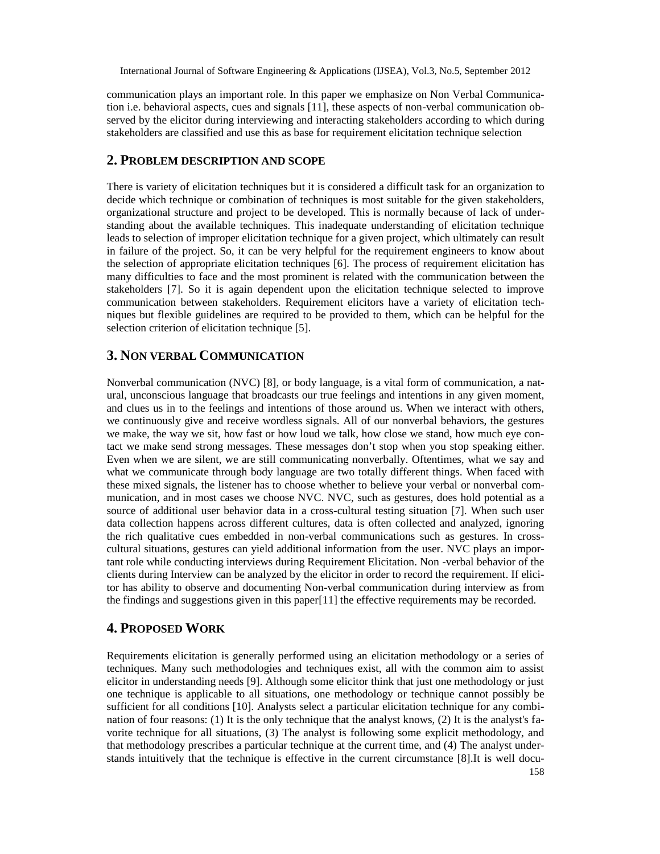communication plays an important role. In this paper we emphasize on Non Verbal Communication i.e. behavioral aspects, cues and signals [11], these aspects of non-verbal communication observed by the elicitor during interviewing and interacting stakeholders according to which during stakeholders are classified and use this as base for requirement elicitation technique selection

## **2. PROBLEM DESCRIPTION AND SCOPE**

There is variety of elicitation techniques but it is considered a difficult task for an organization to decide which technique or combination of techniques is most suitable for the given stakeholders, organizational structure and project to be developed. This is normally because of lack of understanding about the available techniques. This inadequate understanding of elicitation technique leads to selection of improper elicitation technique for a given project, which ultimately can result in failure of the project. So, it can be very helpful for the requirement engineers to know about the selection of appropriate elicitation techniques [6]. The process of requirement elicitation has many difficulties to face and the most prominent is related with the communication between the stakeholders [7]. So it is again dependent upon the elicitation technique selected to improve communication between stakeholders. Requirement elicitors have a variety of elicitation techniques but flexible guidelines are required to be provided to them, which can be helpful for the selection criterion of elicitation technique [5].

# **3. NON VERBAL COMMUNICATION**

Nonverbal communication (NVC) [8], or body language, is a vital form of communication, a natural, unconscious language that broadcasts our true feelings and intentions in any given moment, and clues us in to the feelings and intentions of those around us. When we interact with others, we continuously give and receive wordless signals. All of our nonverbal behaviors, the gestures we make, the way we sit, how fast or how loud we talk, how close we stand, how much eye contact we make send strong messages. These messages don't stop when you stop speaking either. Even when we are silent, we are still communicating nonverbally. Oftentimes, what we say and what we communicate through body language are two totally different things. When faced with these mixed signals, the listener has to choose whether to believe your verbal or nonverbal communication, and in most cases we choose NVC. NVC, such as gestures, does hold potential as a source of additional user behavior data in a cross-cultural testing situation [7]. When such user data collection happens across different cultures, data is often collected and analyzed, ignoring the rich qualitative cues embedded in non-verbal communications such as gestures. In crosscultural situations, gestures can yield additional information from the user. NVC plays an important role while conducting interviews during Requirement Elicitation. Non -verbal behavior of the clients during Interview can be analyzed by the elicitor in order to record the requirement. If elicitor has ability to observe and documenting Non-verbal communication during interview as from the findings and suggestions given in this paper[11] the effective requirements may be recorded.

## **4. PROPOSED WORK**

Requirements elicitation is generally performed using an elicitation methodology or a series of techniques. Many such methodologies and techniques exist, all with the common aim to assist elicitor in understanding needs [9]. Although some elicitor think that just one methodology or just one technique is applicable to all situations, one methodology or technique cannot possibly be sufficient for all conditions [10]. Analysts select a particular elicitation technique for any combination of four reasons: (1) It is the only technique that the analyst knows, (2) It is the analyst's favorite technique for all situations, (3) The analyst is following some explicit methodology, and that methodology prescribes a particular technique at the current time, and (4) The analyst understands intuitively that the technique is effective in the current circumstance [8].It is well docu-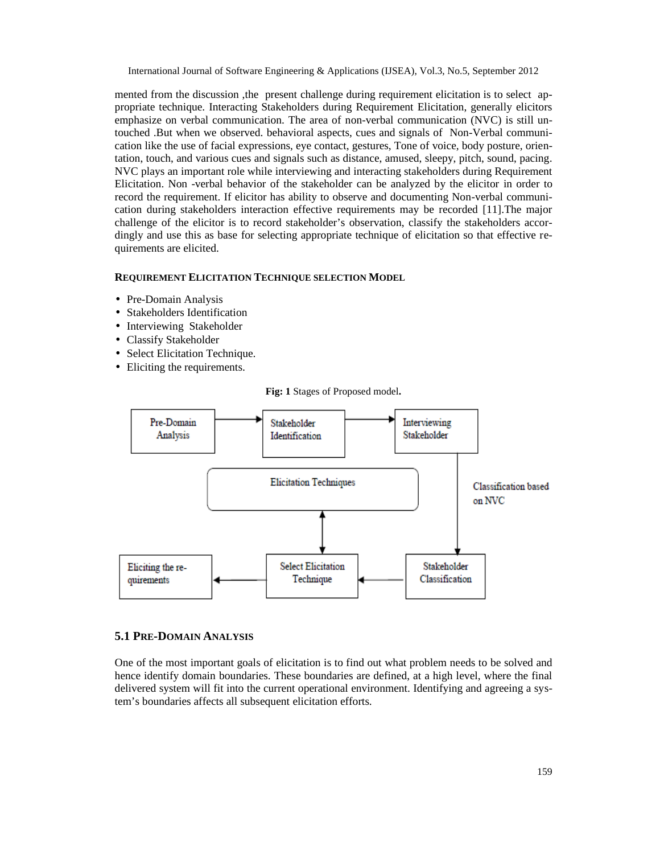mented from the discussion ,the present challenge during requirement elicitation is to select appropriate technique. Interacting Stakeholders during Requirement Elicitation, generally elicitors emphasize on verbal communication. The area of non-verbal communication (NVC) is still untouched .But when we observed. behavioral aspects, cues and signals of Non-Verbal communication like the use of facial expressions, eye contact, gestures, Tone of voice, body posture, orientation, touch, and various cues and signals such as distance, amused, sleepy, pitch, sound, pacing. NVC plays an important role while interviewing and interacting stakeholders during Requirement Elicitation. Non -verbal behavior of the stakeholder can be analyzed by the elicitor in order to record the requirement. If elicitor has ability to observe and documenting Non-verbal communication during stakeholders interaction effective requirements may be recorded [11].The major challenge of the elicitor is to record stakeholder's observation, classify the stakeholders accordingly and use this as base for selecting appropriate technique of elicitation so that effective requirements are elicited.

#### **REQUIREMENT ELICITATION TECHNIQUE SELECTION MODEL**

- Pre-Domain Analysis
- Stakeholders Identification
- Interviewing Stakeholder
- Classify Stakeholder
- Select Elicitation Technique.
- Eliciting the requirements.



**Fig: 1** Stages of Proposed model**.**

#### **5.1 PRE-DOMAIN ANALYSIS**

One of the most important goals of elicitation is to find out what problem needs to be solved and hence identify domain boundaries. These boundaries are defined, at a high level, where the final delivered system will fit into the current operational environment. Identifying and agreeing a system's boundaries affects all subsequent elicitation efforts.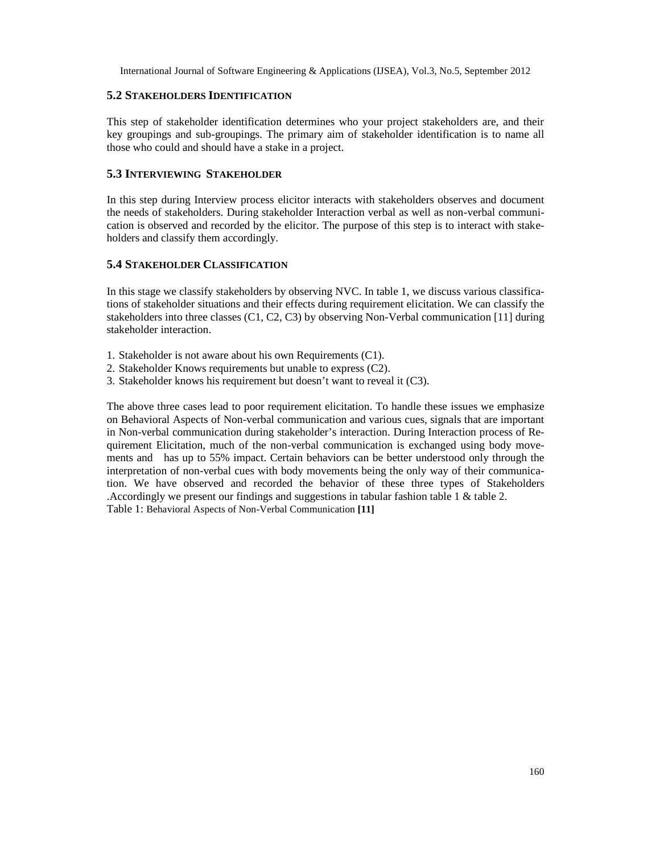#### **5.2 STAKEHOLDERS IDENTIFICATION**

This step of stakeholder identification determines who your project stakeholders are, and their key groupings and sub-groupings. The primary aim of stakeholder identification is to name all those who could and should have a stake in a project.

#### **5.3 INTERVIEWING STAKEHOLDER**

In this step during Interview process elicitor interacts with stakeholders observes and document the needs of stakeholders. During stakeholder Interaction verbal as well as non-verbal communication is observed and recorded by the elicitor. The purpose of this step is to interact with stakeholders and classify them accordingly.

#### **5.4 STAKEHOLDER CLASSIFICATION**

In this stage we classify stakeholders by observing NVC. In table 1, we discuss various classifications of stakeholder situations and their effects during requirement elicitation. We can classify the stakeholders into three classes (C1, C2, C3) by observing Non-Verbal communication [11] during stakeholder interaction.

- 1. Stakeholder is not aware about his own Requirements (C1).
- 2. Stakeholder Knows requirements but unable to express (C2).
- 3. Stakeholder knows his requirement but doesn't want to reveal it (C3).

The above three cases lead to poor requirement elicitation. To handle these issues we emphasize on Behavioral Aspects of Non-verbal communication and various cues, signals that are important in Non-verbal communication during stakeholder's interaction. During Interaction process of Requirement Elicitation, much of the non-verbal communication is exchanged using body movements and has up to 55% impact. Certain behaviors can be better understood only through the interpretation of non-verbal cues with body movements being the only way of their communication. We have observed and recorded the behavior of these three types of Stakeholders .Accordingly we present our findings and suggestions in tabular fashion table 1 & table 2. Table 1: Behavioral Aspects of Non-Verbal Communication **[11]**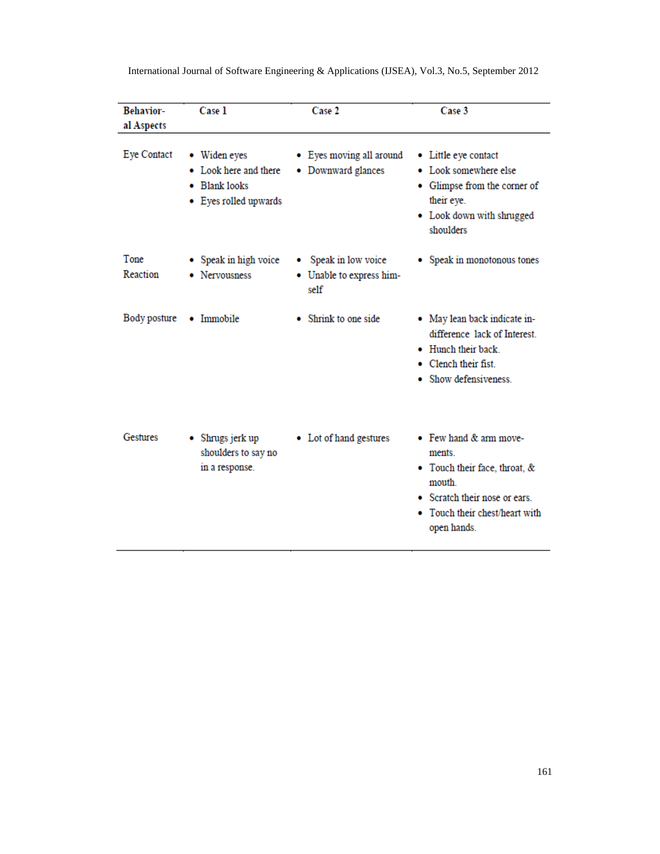| <b>Behavior-</b><br>al Aspects | Case 1                                                                          | Case 2                                                              | Case 3                                                                                                                                                     |
|--------------------------------|---------------------------------------------------------------------------------|---------------------------------------------------------------------|------------------------------------------------------------------------------------------------------------------------------------------------------------|
| <b>Eye Contact</b>             | • Widen eyes<br>• Look here and there<br>• Blank looks<br>• Eyes rolled upwards | • Eyes moving all around<br>• Downward glances                      | • Little eye contact<br>• Look somewhere else<br>• Glimpse from the corner of<br>their eye.<br>• Look down with shrugged<br>shoulders                      |
| Tone<br>Reaction               | • Speak in high voice<br>• Nervousness                                          | Speak in low voice<br>$\bullet$<br>• Unable to express him-<br>self | • Speak in monotonous tones                                                                                                                                |
| Body posture                   | • Immobile                                                                      | • Shrink to one side                                                | • May lean back indicate in-<br>difference lack of Interest.<br>• Hunch their back<br>• Clench their fist.<br>Show defensiveness                           |
| Gestures                       | Shrugs jerk up<br>٠<br>shoulders to say no<br>in a response.                    | • Lot of hand gestures                                              | • Few hand & arm move-<br>ments.<br>• Touch their face, throat, &<br>mouth<br>• Scratch their nose or ears.<br>Touch their chest/heart with<br>open hands. |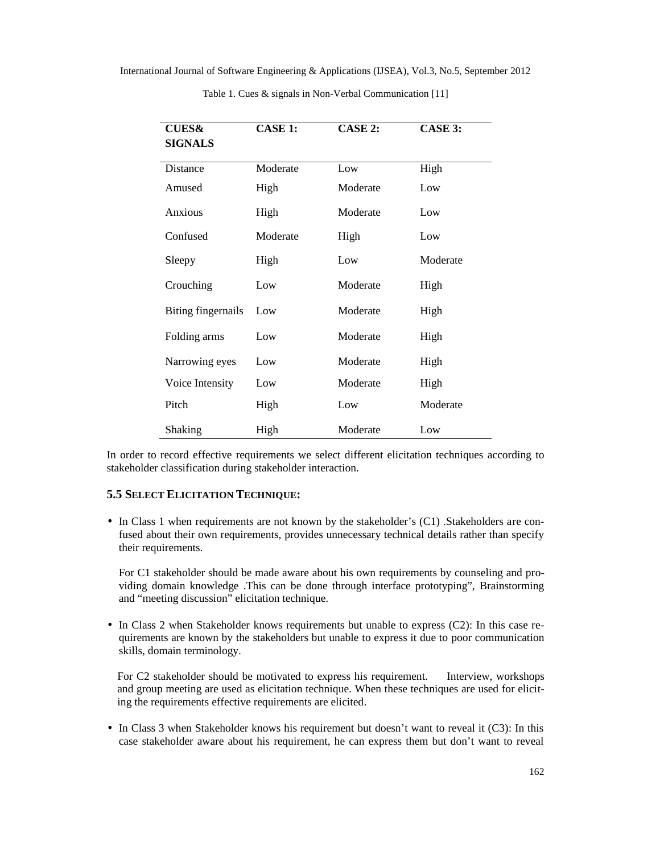| <b>CUES&amp;</b><br><b>SIGNALS</b> | <b>CASE 1:</b> | CASE 2:  | CASE 3:  |
|------------------------------------|----------------|----------|----------|
| Distance                           | Moderate       | Low      | High     |
| Amused                             | High           | Moderate | Low      |
| Anxious                            | High           | Moderate | Low      |
| Confused                           | Moderate       | High     | Low      |
| Sleepy                             | High           | Low      | Moderate |
| Crouching                          | Low            | Moderate | High     |
| Biting fingernails                 | Low            | Moderate | High     |
| Folding arms                       | Low            | Moderate | High     |
| Narrowing eyes                     | Low            | Moderate | High     |
| Voice Intensity                    | Low            | Moderate | High     |
| Pitch                              | High           | Low      | Moderate |
| Shaking                            | High           | Moderate | Low      |

Table 1. Cues & signals in Non-Verbal Communication [11]

In order to record effective requirements we select different elicitation techniques according to stakeholder classification during stakeholder interaction.

#### **5.5 SELECT ELICITATION TECHNIQUE:**

• In Class 1 when requirements are not known by the stakeholder's (C1) .Stakeholders are confused about their own requirements, provides unnecessary technical details rather than specify their requirements.

For C1 stakeholder should be made aware about his own requirements by counseling and providing domain knowledge .This can be done through interface prototyping", Brainstorming and "meeting discussion" elicitation technique.

• In Class 2 when Stakeholder knows requirements but unable to express (C2): In this case requirements are known by the stakeholders but unable to express it due to poor communication skills, domain terminology.

For C2 stakeholder should be motivated to express his requirement. Interview, workshops and group meeting are used as elicitation technique. When these techniques are used for eliciting the requirements effective requirements are elicited.

• In Class 3 when Stakeholder knows his requirement but doesn't want to reveal it (C3): In this case stakeholder aware about his requirement, he can express them but don't want to reveal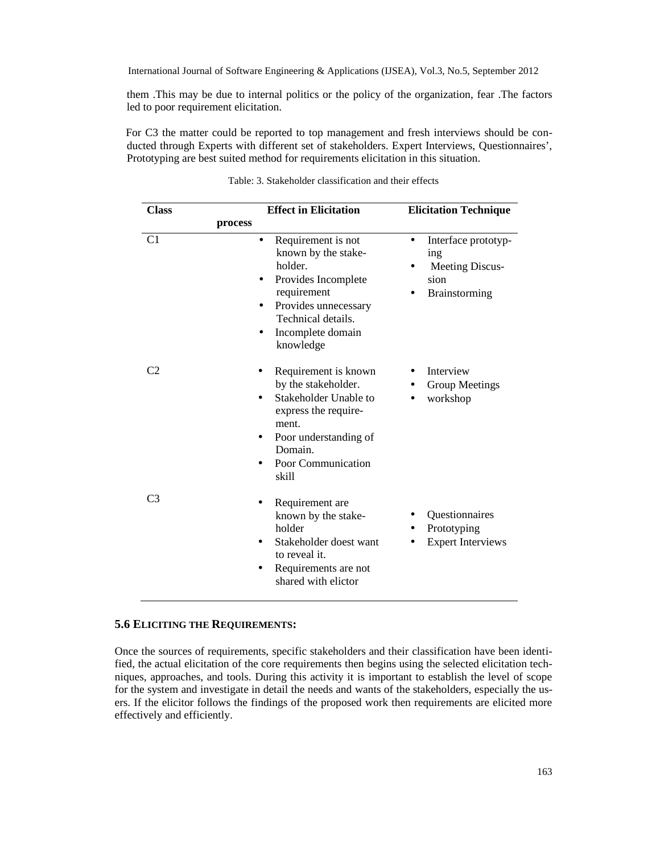them .This may be due to internal politics or the policy of the organization, fear .The factors led to poor requirement elicitation.

For C3 the matter could be reported to top management and fresh interviews should be conducted through Experts with different set of stakeholders. Expert Interviews, Questionnaires', Prototyping are best suited method for requirements elicitation in this situation.

| <b>Class</b>   | <b>Effect in Elicitation</b>                                                                                                                                                            | <b>Elicitation Technique</b>                                                                      |  |
|----------------|-----------------------------------------------------------------------------------------------------------------------------------------------------------------------------------------|---------------------------------------------------------------------------------------------------|--|
|                | process                                                                                                                                                                                 |                                                                                                   |  |
| C <sub>1</sub> | Requirement is not<br>$\bullet$<br>known by the stake-<br>holder.<br>Provides Incomplete<br>requirement<br>Provides unnecessary<br>Technical details.<br>Incomplete domain<br>knowledge | Interface prototyp-<br>$\bullet$<br>ing<br><b>Meeting Discus-</b><br>sion<br><b>Brainstorming</b> |  |
| C <sub>2</sub> | Requirement is known<br>by the stakeholder.<br>Stakeholder Unable to<br>express the require-<br>ment.<br>Poor understanding of<br>Domain.<br>Poor Communication<br>٠<br>skill           | Interview<br>Group Meetings<br>workshop                                                           |  |
| C <sub>3</sub> | Requirement are<br>known by the stake-<br>holder<br>Stakeholder doest want<br>to reveal it.<br>Requirements are not<br>shared with elictor                                              | Questionnaires<br>Prototyping<br><b>Expert Interviews</b>                                         |  |

Table: 3. Stakeholder classification and their effects

#### **5.6 ELICITING THE REQUIREMENTS:**

Once the sources of requirements, specific stakeholders and their classification have been identified, the actual elicitation of the core requirements then begins using the selected elicitation techniques, approaches, and tools. During this activity it is important to establish the level of scope for the system and investigate in detail the needs and wants of the stakeholders, especially the users. If the elicitor follows the findings of the proposed work then requirements are elicited more effectively and efficiently.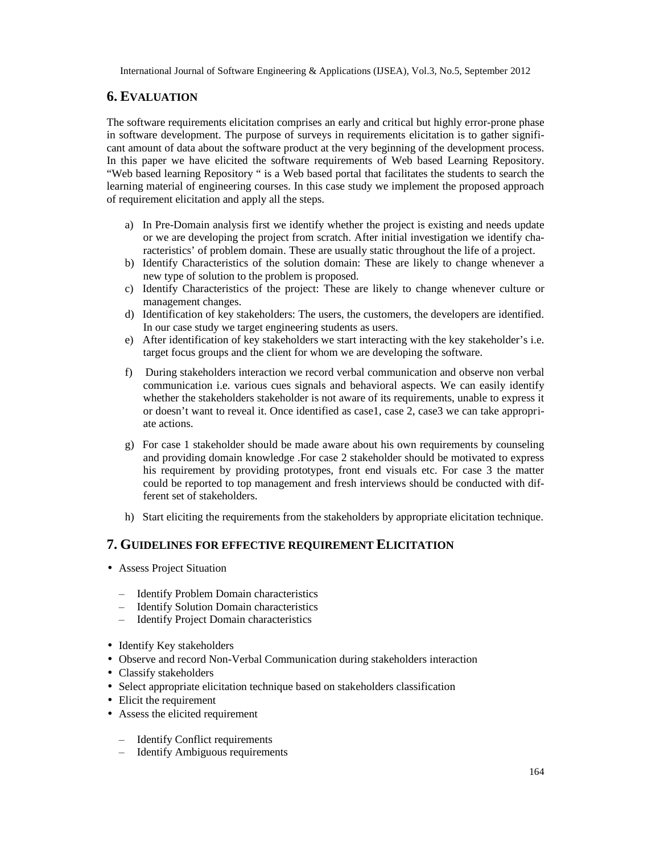# **6. EVALUATION**

The software requirements elicitation comprises an early and critical but highly error-prone phase in software development. The purpose of surveys in requirements elicitation is to gather significant amount of data about the software product at the very beginning of the development process. In this paper we have elicited the software requirements of Web based Learning Repository. "Web based learning Repository " is a Web based portal that facilitates the students to search the learning material of engineering courses. In this case study we implement the proposed approach of requirement elicitation and apply all the steps.

- a) In Pre-Domain analysis first we identify whether the project is existing and needs update or we are developing the project from scratch. After initial investigation we identify characteristics' of problem domain. These are usually static throughout the life of a project.
- b) Identify Characteristics of the solution domain: These are likely to change whenever a new type of solution to the problem is proposed.
- c) Identify Characteristics of the project: These are likely to change whenever culture or management changes.
- d) Identification of key stakeholders: The users, the customers, the developers are identified. In our case study we target engineering students as users.
- e) After identification of key stakeholders we start interacting with the key stakeholder's i.e. target focus groups and the client for whom we are developing the software.
- f) During stakeholders interaction we record verbal communication and observe non verbal communication i.e. various cues signals and behavioral aspects. We can easily identify whether the stakeholders stakeholder is not aware of its requirements, unable to express it or doesn't want to reveal it. Once identified as case1, case 2, case3 we can take appropriate actions.
- g) For case 1 stakeholder should be made aware about his own requirements by counseling and providing domain knowledge .For case 2 stakeholder should be motivated to express his requirement by providing prototypes, front end visuals etc. For case 3 the matter could be reported to top management and fresh interviews should be conducted with different set of stakeholders.
- h) Start eliciting the requirements from the stakeholders by appropriate elicitation technique.

# **7. GUIDELINES FOR EFFECTIVE REQUIREMENT ELICITATION**

- Assess Project Situation
	- Identify Problem Domain characteristics
	- Identify Solution Domain characteristics
	- Identify Project Domain characteristics
- Identify Key stakeholders
- Observe and record Non-Verbal Communication during stakeholders interaction
- Classify stakeholders
- Select appropriate elicitation technique based on stakeholders classification
- Elicit the requirement
- Assess the elicited requirement
	- Identify Conflict requirements
	- Identify Ambiguous requirements